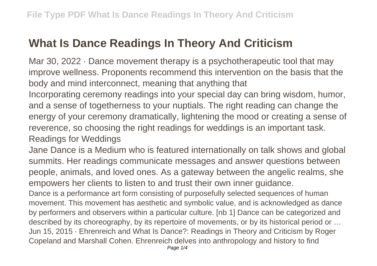## **What Is Dance Readings In Theory And Criticism**

Mar 30, 2022 · Dance movement therapy is a psychotherapeutic tool that may improve wellness. Proponents recommend this intervention on the basis that the body and mind interconnect, meaning that anything that

Incorporating ceremony readings into your special day can bring wisdom, humor, and a sense of togetherness to your nuptials. The right reading can change the energy of your ceremony dramatically, lightening the mood or creating a sense of reverence, so choosing the right readings for weddings is an important task. Readings for Weddings

Jane Dance is a Medium who is featured internationally on talk shows and global summits. Her readings communicate messages and answer questions between people, animals, and loved ones. As a gateway between the angelic realms, she empowers her clients to listen to and trust their own inner guidance.

Dance is a performance art form consisting of purposefully selected sequences of human movement. This movement has aesthetic and symbolic value, and is acknowledged as dance by performers and observers within a particular culture. [nb 1] Dance can be categorized and described by its choreography, by its repertoire of movements, or by its historical period or … Jun 15, 2015 · Ehrenreich and What Is Dance?: Readings in Theory and Criticism by Roger Copeland and Marshall Cohen. Ehrenreich delves into anthropology and history to find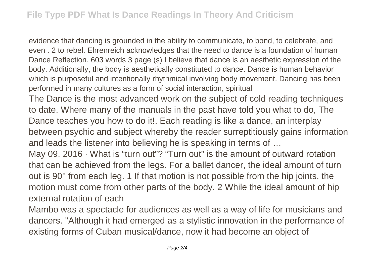evidence that dancing is grounded in the ability to communicate, to bond, to celebrate, and even . 2 to rebel. Ehrenreich acknowledges that the need to dance is a foundation of human Dance Reflection. 603 words 3 page (s) I believe that dance is an aesthetic expression of the body. Additionally, the body is aesthetically constituted to dance. Dance is human behavior which is purposeful and intentionally rhythmical involving body movement. Dancing has been performed in many cultures as a form of social interaction, spiritual

The Dance is the most advanced work on the subject of cold reading techniques to date. Where many of the manuals in the past have told you what to do, The Dance teaches you how to do it!. Each reading is like a dance, an interplay between psychic and subject whereby the reader surreptitiously gains information and leads the listener into believing he is speaking in terms of …

May 09, 2016 · What is "turn out"? "Turn out" is the amount of outward rotation that can be achieved from the legs. For a ballet dancer, the ideal amount of turn out is 90° from each leg. 1 If that motion is not possible from the hip joints, the motion must come from other parts of the body. 2 While the ideal amount of hip external rotation of each

Mambo was a spectacle for audiences as well as a way of life for musicians and dancers. "Although it had emerged as a stylistic innovation in the performance of existing forms of Cuban musical/dance, now it had become an object of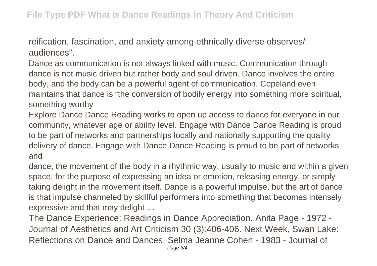reification, fascination, and anxiety among ethnically diverse observes/ audiences".

Dance as communication is not always linked with music. Communication through dance is not music driven but rather body and soul driven. Dance involves the entire body, and the body can be a powerful agent of communication. Copeland even maintains that dance is "the conversion of bodily energy into something more spiritual, something worthy

Explore Dance Dance Reading works to open up access to dance for everyone in our community, whatever age or ability level. Engage with Dance Dance Reading is proud to be part of networks and partnerships locally and nationally supporting the quality delivery of dance. Engage with Dance Dance Reading is proud to be part of networks and

dance, the movement of the body in a rhythmic way, usually to music and within a given space, for the purpose of expressing an idea or emotion, releasing energy, or simply taking delight in the movement itself. Dance is a powerful impulse, but the art of dance is that impulse channeled by skillful performers into something that becomes intensely expressive and that may delight …

The Dance Experience: Readings in Dance Appreciation. Anita Page - 1972 - Journal of Aesthetics and Art Criticism 30 (3):406-406. Next Week, Swan Lake: Reflections on Dance and Dances. Selma Jeanne Cohen - 1983 - Journal of